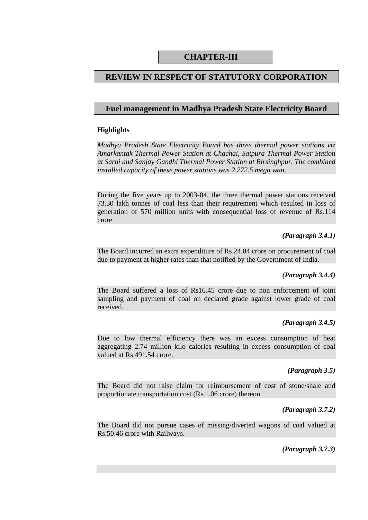# **CHAPTER-III**

# **REVIEW IN RESPECT OF STATUTORY CORPORATION**

### **Fuel management in Madhya Pradesh State Electricity Board**

#### **Highlights**

*Madhya Pradesh State Electricity Board has three thermal power stations viz Amarkantak Thermal Power Station at Chachai, Satpura Thermal Power Station at Sarni and Sanjay Gandhi Thermal Power Station at Birsinghpur. The combined installed capacity of these power stations was 2,272.5 mega watt.* 

During the five years up to 2003-04, the three thermal power stations received 73.30 lakh tonnes of coal less than their requirement which resulted in loss of generation of 570 million units with consequential loss of revenue of Rs.114 crore.

#### *(Paragraph 3.4.1)*

The Board incurred an extra expenditure of Rs.24.04 crore on procurement of coal due to payment at higher rates than that notified by the Government of India.

#### *(Paragraph 3.4.4)*

The Board suffered a loss of Rs16.45 crore due to non enforcement of joint sampling and payment of coal on declared grade against lower grade of coal received.

#### *(Paragraph 3.4.5)*

Due to low thermal efficiency there was an excess consumption of heat aggregating 2.74 million kilo calories resulting in excess consumption of coal valued at Rs.491.54 crore.

#### *(Paragraph 3.5)*

The Board did not raise claim for reimbursement of cost of stone/shale and proportionate transportation cost (Rs.1.06 crore) thereon.

#### *(Paragraph 3.7.2)*

The Board did not pursue cases of missing/diverted wagons of coal valued at Rs.50.46 crore with Railways.

#### *(Paragraph 3.7.3)*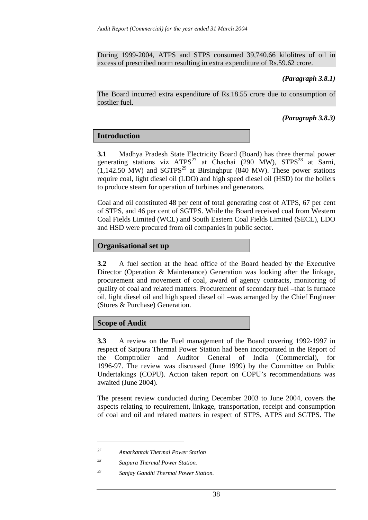During 1999-2004, ATPS and STPS consumed 39,740.66 kilolitres of oil in excess of prescribed norm resulting in extra expenditure of Rs.59.62 crore.

### *(Paragraph 3.8.1)*

The Board incurred extra expenditure of Rs.18.55 crore due to consumption of costlier fuel.

### *(Paragraph 3.8.3)*

# **Introduction**

**3.1** Madhya Pradesh State Electricity Board (Board) has three thermal power generating stations viz  $ATPS^{27}$  at Chachai (290 MW),  $STPS^{28}$  at Sarni,  $(1,142.50 \text{ MW})$  and SGTPS<sup>29</sup> at Birsinghpur (840 MW). These power stations require coal, light diesel oil (LDO) and high speed diesel oil (HSD) for the boilers to produce steam for operation of turbines and generators.

Coal and oil constituted 48 per cent of total generating cost of ATPS, 67 per cent of STPS, and 46 per cent of SGTPS. While the Board received coal from Western Coal Fields Limited (WCL) and South Eastern Coal Fields Limited (SECL), LDO and HSD were procured from oil companies in public sector.

### **Organisational set up**

**3.2** A fuel section at the head office of the Board headed by the Executive Director (Operation & Maintenance) Generation was looking after the linkage, procurement and movement of coal, award of agency contracts, monitoring of quality of coal and related matters. Procurement of secondary fuel –that is furnace oil, light diesel oil and high speed diesel oil –was arranged by the Chief Engineer (Stores & Purchase) Generation.

#### **Scope of Audit**

 $\overline{a}$ 

**3.3** A review on the Fuel management of the Board covering 1992-1997 in respect of Satpura Thermal Power Station had been incorporated in the Report of the Comptroller and Auditor General of India (Commercial), for 1996-97. The review was discussed (June 1999) by the Committee on Public Undertakings (COPU). Action taken report on COPU's recommendations was awaited (June 2004).

The present review conducted during December 2003 to June 2004, covers the aspects relating to requirement, linkage, transportation, receipt and consumption of coal and oil and related matters in respect of STPS, ATPS and SGTPS. The

*<sup>27</sup> Amarkantak Thermal Power Station* 

*<sup>28</sup> Satpura Thermal Power Station.*

*<sup>29</sup> Sanjay Gandhi Thermal Power Station.*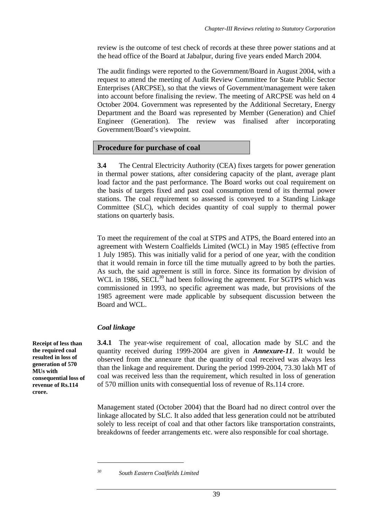review is the outcome of test check of records at these three power stations and at the head office of the Board at Jabalpur, during five years ended March 2004.

The audit findings were reported to the Government/Board in August 2004, with a request to attend the meeting of Audit Review Committee for State Public Sector Enterprises (ARCPSE), so that the views of Government/management were taken into account before finalising the review. The meeting of ARCPSE was held on 4 October 2004. Government was represented by the Additional Secretary, Energy Department and the Board was represented by Member (Generation) and Chief Engineer (Generation). The review was finalised after incorporating Government/Board's viewpoint.

### **Procedure for purchase of coal**

**3.4** The Central Electricity Authority (CEA) fixes targets for power generation in thermal power stations, after considering capacity of the plant, average plant load factor and the past performance. The Board works out coal requirement on the basis of targets fixed and past coal consumption trend of its thermal power stations. The coal requirement so assessed is conveyed to a Standing Linkage Committee (SLC), which decides quantity of coal supply to thermal power stations on quarterly basis.

To meet the requirement of the coal at STPS and ATPS, the Board entered into an agreement with Western Coalfields Limited (WCL) in May 1985 (effective from 1 July 1985). This was initially valid for a period of one year, with the condition that it would remain in force till the time mutually agreed to by both the parties. As such, the said agreement is still in force. Since its formation by division of WCL in 1986,  $SECL^{30}$  had been following the agreement. For SGTPS which was commissioned in 1993, no specific agreement was made, but provisions of the 1985 agreement were made applicable by subsequent discussion between the Board and WCL.

# *Coal linkage*

**3.4.1** The year-wise requirement of coal, allocation made by SLC and the quantity received during 1999-2004 are given in *Annexure-11*. It would be observed from the annexure that the quantity of coal received was always less than the linkage and requirement. During the period 1999-2004, 73.30 lakh MT of coal was received less than the requirement, which resulted in loss of generation of 570 million units with consequential loss of revenue of Rs.114 crore.

Management stated (October 2004) that the Board had no direct control over the linkage allocated by SLC. It also added that less generation could not be attributed solely to less receipt of coal and that other factors like transportation constraints, breakdowns of feeder arrangements etc. were also responsible for coal shortage.

**Receipt of less than the required coal resulted in loss of generation of 570 MUs with consequential loss of revenue of Rs.114 crore.** 

<sup>&</sup>lt;u>.</u>

*<sup>30</sup> South Eastern Coalfields Limited*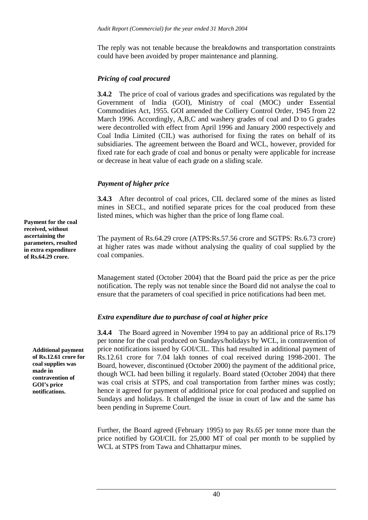The reply was not tenable because the breakdowns and transportation constraints could have been avoided by proper maintenance and planning.

### *Pricing of coal procured*

**3.4.2** The price of coal of various grades and specifications was regulated by the Government of India (GOI), Ministry of coal (MOC) under Essential Commodities Act, 1955. GOI amended the Colliery Control Order, 1945 from 22 March 1996. Accordingly, A,B,C and washery grades of coal and D to G grades were decontrolled with effect from April 1996 and January 2000 respectively and Coal India Limited (CIL) was authorised for fixing the rates on behalf of its subsidiaries. The agreement between the Board and WCL, however, provided for fixed rate for each grade of coal and bonus or penalty were applicable for increase or decrease in heat value of each grade on a sliding scale.

# *Payment of higher price*

**3.4.3** After decontrol of coal prices, CIL declared some of the mines as listed mines in SECL, and notified separate prices for the coal produced from these listed mines, which was higher than the price of long flame coal.

The payment of Rs.64.29 crore (ATPS:Rs.57.56 crore and SGTPS: Rs.6.73 crore) at higher rates was made without analysing the quality of coal supplied by the coal companies.

Management stated (October 2004) that the Board paid the price as per the price notification. The reply was not tenable since the Board did not analyse the coal to ensure that the parameters of coal specified in price notifications had been met.

# *Extra expenditure due to purchase of coal at higher price*

**3.4.4** The Board agreed in November 1994 to pay an additional price of Rs.179 per tonne for the coal produced on Sundays/holidays by WCL, in contravention of price notifications issued by GOI/CIL. This had resulted in additional payment of Rs.12.61 crore for 7.04 lakh tonnes of coal received during 1998-2001. The Board, however, discontinued (October 2000) the payment of the additional price, though WCL had been billing it regularly. Board stated (October 2004) that there was coal crisis at STPS, and coal transportation from farther mines was costly; hence it agreed for payment of additional price for coal produced and supplied on Sundays and holidays. It challenged the issue in court of law and the same has been pending in Supreme Court.

Further, the Board agreed (February 1995) to pay Rs.65 per tonne more than the price notified by GOI/CIL for 25,000 MT of coal per month to be supplied by WCL at STPS from Tawa and Chhattarpur mines.

**Payment for the coal received, without ascertaining the parameters, resulted in extra expenditure of Rs.64.29 crore.** 

> **Additional payment of Rs.12.61 crore for coal supplies was made in contravention of GOI's price notifications.**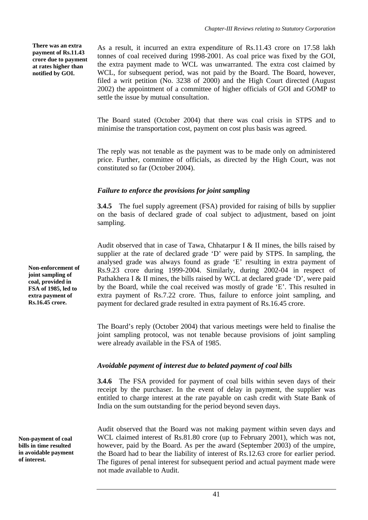**There was an extra payment of Rs.11.43 crore due to payment at rates higher than notified by GOI.** 

As a result, it incurred an extra expenditure of Rs.11.43 crore on 17.58 lakh tonnes of coal received during 1998-2001. As coal price was fixed by the GOI, the extra payment made to WCL was unwarranted. The extra cost claimed by WCL, for subsequent period, was not paid by the Board. The Board, however, filed a writ petition (No. 3238 of 2000) and the High Court directed (August 2002) the appointment of a committee of higher officials of GOI and GOMP to settle the issue by mutual consultation.

The Board stated (October 2004) that there was coal crisis in STPS and to minimise the transportation cost, payment on cost plus basis was agreed.

The reply was not tenable as the payment was to be made only on administered price. Further, committee of officials, as directed by the High Court, was not constituted so far (October 2004).

### *Failure to enforce the provisions for joint sampling*

**3.4.5** The fuel supply agreement (FSA) provided for raising of bills by supplier on the basis of declared grade of coal subject to adjustment, based on joint sampling.

Audit observed that in case of Tawa, Chhatarpur I & II mines, the bills raised by supplier at the rate of declared grade 'D' were paid by STPS. In sampling, the analysed grade was always found as grade 'E' resulting in extra payment of Rs.9.23 crore during 1999-2004. Similarly, during 2002-04 in respect of Pathakhera I & II mines, the bills raised by WCL at declared grade 'D', were paid by the Board, while the coal received was mostly of grade 'E'. This resulted in extra payment of Rs.7.22 crore. Thus, failure to enforce joint sampling, and payment for declared grade resulted in extra payment of Rs.16.45 crore.

The Board's reply (October 2004) that various meetings were held to finalise the joint sampling protocol, was not tenable because provisions of joint sampling were already available in the FSA of 1985.

#### *Avoidable payment of interest due to belated payment of coal bills*

**3.4.6** The FSA provided for payment of coal bills within seven days of their receipt by the purchaser. In the event of delay in payment, the supplier was entitled to charge interest at the rate payable on cash credit with State Bank of India on the sum outstanding for the period beyond seven days.

Audit observed that the Board was not making payment within seven days and WCL claimed interest of Rs.81.80 crore (up to February 2001), which was not, however, paid by the Board. As per the award (September 2003) of the umpire, the Board had to bear the liability of interest of Rs.12.63 crore for earlier period. The figures of penal interest for subsequent period and actual payment made were not made available to Audit.

**Non-enforcement of joint sampling of coal, provided in FSA of 1985, led to extra payment of Rs.16.45 crore.**

**Non-payment of coal bills in time resulted in avoidable payment of interest.**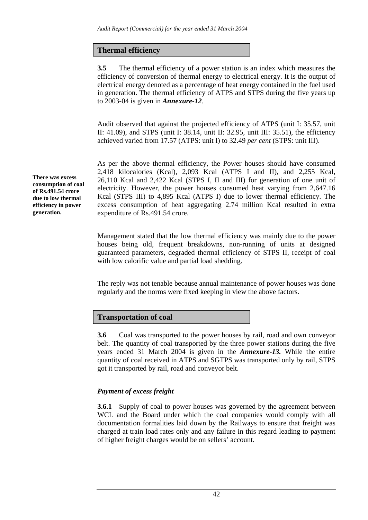# **Thermal efficiency**

**3.5** The thermal efficiency of a power station is an index which measures the efficiency of conversion of thermal energy to electrical energy. It is the output of electrical energy denoted as a percentage of heat energy contained in the fuel used in generation. The thermal efficiency of ATPS and STPS during the five years up to 2003-04 is given in *Annexure-12*.

Audit observed that against the projected efficiency of ATPS (unit I: 35.57, unit II: 41.09), and STPS (unit I: 38.14, unit II: 32.95, unit III: 35.51), the efficiency achieved varied from 17.57 (ATPS: unit I) to 32.49 *per cent* (STPS: unit III).

As per the above thermal efficiency, the Power houses should have consumed 2,418 kilocalories (Kcal), 2,093 Kcal (ATPS I and II), and 2,255 Kcal, 26,110 Kcal and 2,422 Kcal (STPS I, II and III) for generation of one unit of electricity. However, the power houses consumed heat varying from 2,647.16 Kcal (STPS III) to 4,895 Kcal (ATPS I) due to lower thermal efficiency. The excess consumption of heat aggregating 2.74 million Kcal resulted in extra expenditure of Rs.491.54 crore.

Management stated that the low thermal efficiency was mainly due to the power houses being old, frequent breakdowns, non-running of units at designed guaranteed parameters, degraded thermal efficiency of STPS II, receipt of coal with low calorific value and partial load shedding.

The reply was not tenable because annual maintenance of power houses was done regularly and the norms were fixed keeping in view the above factors.

# **Transportation of coal**

**3.6** Coal was transported to the power houses by rail, road and own conveyor belt. The quantity of coal transported by the three power stations during the five years ended 31 March 2004 is given in the *Annexure-13.* While the entire quantity of coal received in ATPS and SGTPS was transported only by rail, STPS got it transported by rail, road and conveyor belt.

# *Payment of excess freight*

**3.6.1** Supply of coal to power houses was governed by the agreement between WCL and the Board under which the coal companies would comply with all documentation formalities laid down by the Railways to ensure that freight was charged at train load rates only and any failure in this regard leading to payment of higher freight charges would be on sellers' account.

**There was excess consumption of coal of Rs.491.54 crore due to low thermal efficiency in power generation.**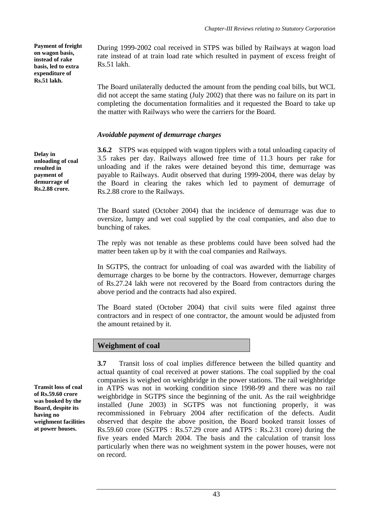**Payment of freight on wagon basis, instead of rake basis, led to extra expenditure of Rs.51 lakh.** 

**Delay in unloading of coal resulted in payment of demurrage of Rs.2.88 crore.** 

During 1999-2002 coal received in STPS was billed by Railways at wagon load rate instead of at train load rate which resulted in payment of excess freight of Rs.51 lakh.

The Board unilaterally deducted the amount from the pending coal bills, but WCL did not accept the same stating (July 2002) that there was no failure on its part in completing the documentation formalities and it requested the Board to take up the matter with Railways who were the carriers for the Board.

# *Avoidable payment of demurrage charges*

**3.6.2** STPS was equipped with wagon tipplers with a total unloading capacity of 3.5 rakes per day. Railways allowed free time of 11.3 hours per rake for unloading and if the rakes were detained beyond this time, demurrage was payable to Railways. Audit observed that during 1999-2004, there was delay by the Board in clearing the rakes which led to payment of demurrage of Rs.2.88 crore to the Railways.

The Board stated (October 2004) that the incidence of demurrage was due to oversize, lumpy and wet coal supplied by the coal companies, and also due to bunching of rakes.

The reply was not tenable as these problems could have been solved had the matter been taken up by it with the coal companies and Railways.

In SGTPS, the contract for unloading of coal was awarded with the liability of demurrage charges to be borne by the contractors. However, demurrage charges of Rs.27.24 lakh were not recovered by the Board from contractors during the above period and the contracts had also expired.

The Board stated (October 2004) that civil suits were filed against three contractors and in respect of one contractor, the amount would be adjusted from the amount retained by it.

#### **Weighment of coal**

**3.7** Transit loss of coal implies difference between the billed quantity and actual quantity of coal received at power stations. The coal supplied by the coal companies is weighed on weighbridge in the power stations. The rail weighbridge in ATPS was not in working condition since 1998-99 and there was no rail weighbridge in SGTPS since the beginning of the unit. As the rail weighbridge installed (June 2003) in SGTPS was not functioning properly, it was recommissioned in February 2004 after rectification of the defects. Audit observed that despite the above position, the Board booked transit losses of Rs.59.60 crore (SGTPS : Rs.57.29 crore and ATPS : Rs.2.31 crore) during the five years ended March 2004. The basis and the calculation of transit loss particularly when there was no weighment system in the power houses, were not on record.

**Transit loss of coal of Rs.59.60 crore was booked by the Board, despite its having no weighment facilities at power houses.**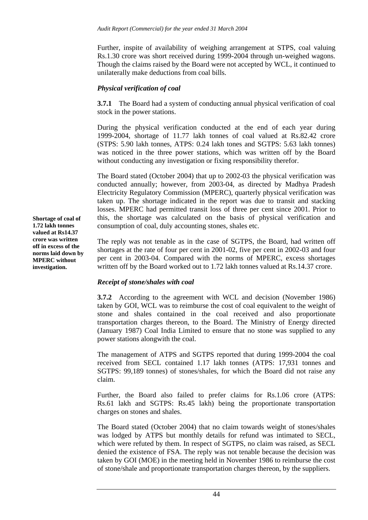Further, inspite of availability of weighing arrangement at STPS, coal valuing Rs.1.30 crore was short received during 1999-2004 through un-weighed wagons. Though the claims raised by the Board were not accepted by WCL, it continued to unilaterally make deductions from coal bills.

#### *Physical verification of coal*

**3.7.1** The Board had a system of conducting annual physical verification of coal stock in the power stations.

During the physical verification conducted at the end of each year during 1999-2004, shortage of 11.77 lakh tonnes of coal valued at Rs.82.42 crore (STPS: 5.90 lakh tonnes, ATPS: 0.24 lakh tones and SGTPS: 5.63 lakh tonnes) was noticed in the three power stations, which was written off by the Board without conducting any investigation or fixing responsibility therefor.

The Board stated (October 2004) that up to 2002-03 the physical verification was conducted annually; however, from 2003-04, as directed by Madhya Pradesh Electricity Regulatory Commission (MPERC), quarterly physical verification was taken up. The shortage indicated in the report was due to transit and stacking losses. MPERC had permitted transit loss of three per cent since 2001. Prior to this, the shortage was calculated on the basis of physical verification and consumption of coal, duly accounting stones, shales etc.

The reply was not tenable as in the case of SGTPS, the Board, had written off shortages at the rate of four per cent in 2001-02, five per cent in 2002-03 and four per cent in 2003-04. Compared with the norms of MPERC, excess shortages written off by the Board worked out to 1.72 lakh tonnes valued at Rs.14.37 crore.

# *Receipt of stone/shales with coal*

**3.7.2** According to the agreement with WCL and decision (November 1986) taken by GOI, WCL was to reimburse the cost of coal equivalent to the weight of stone and shales contained in the coal received and also proportionate transportation charges thereon, to the Board. The Ministry of Energy directed (January 1987) Coal India Limited to ensure that no stone was supplied to any power stations alongwith the coal.

The management of ATPS and SGTPS reported that during 1999-2004 the coal received from SECL contained 1.17 lakh tonnes (ATPS: 17,931 tonnes and SGTPS: 99,189 tonnes) of stones/shales, for which the Board did not raise any claim.

Further, the Board also failed to prefer claims for Rs.1.06 crore (ATPS: Rs.61 lakh and SGTPS: Rs.45 lakh) being the proportionate transportation charges on stones and shales.

The Board stated (October 2004) that no claim towards weight of stones/shales was lodged by ATPS but monthly details for refund was intimated to SECL, which were refuted by them. In respect of SGTPS, no claim was raised, as SECL denied the existence of FSA. The reply was not tenable because the decision was taken by GOI (MOE) in the meeting held in November 1986 to reimburse the cost of stone/shale and proportionate transportation charges thereon, by the suppliers.

**Shortage of coal of 1.72 lakh tonnes valued at Rs14.37 crore was written off in excess of the norms laid down by MPERC without investigation.**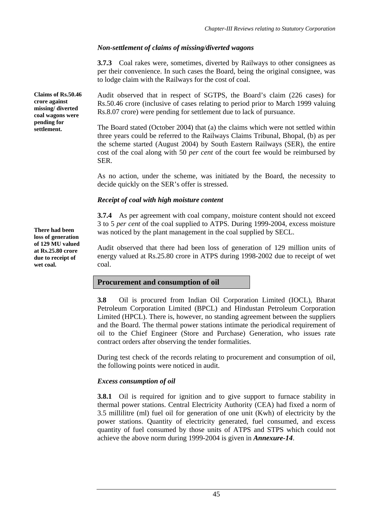# *Non-settlement of claims of missing/diverted wagons*

**3.7.3** Coal rakes were, sometimes, diverted by Railways to other consignees as per their convenience. In such cases the Board, being the original consignee, was to lodge claim with the Railways for the cost of coal.

Audit observed that in respect of SGTPS, the Board's claim (226 cases) for Rs.50.46 crore (inclusive of cases relating to period prior to March 1999 valuing Rs.8.07 crore) were pending for settlement due to lack of pursuance.

The Board stated (October 2004) that (a) the claims which were not settled within three years could be referred to the Railways Claims Tribunal, Bhopal, (b) as per the scheme started (August 2004) by South Eastern Railways (SER), the entire cost of the coal along with 50 *per cent* of the court fee would be reimbursed by SER.

As no action, under the scheme, was initiated by the Board, the necessity to decide quickly on the SER's offer is stressed.

# *Receipt of coal with high moisture content*

**3.7.4** As per agreement with coal company, moisture content should not exceed 3 to 5 *per cent* of the coal supplied to ATPS. During 1999-2004, excess moisture There had been was noticed by the plant management in the coal supplied by SECL.

> Audit observed that there had been loss of generation of 129 million units of energy valued at Rs.25.80 crore in ATPS during 1998-2002 due to receipt of wet coal.

# **Procurement and consumption of oil**

**3.8** Oil is procured from Indian Oil Corporation Limited (IOCL), Bharat Petroleum Corporation Limited (BPCL) and Hindustan Petroleum Corporation Limited (HPCL). There is, however, no standing agreement between the suppliers and the Board. The thermal power stations intimate the periodical requirement of oil to the Chief Engineer (Store and Purchase) Generation, who issues rate contract orders after observing the tender formalities.

During test check of the records relating to procurement and consumption of oil, the following points were noticed in audit.

# *Excess consumption of oil*

**3.8.1** Oil is required for ignition and to give support to furnace stability in thermal power stations. Central Electricity Authority (CEA) had fixed a norm of 3.5 millilitre (ml) fuel oil for generation of one unit (Kwh) of electricity by the power stations. Quantity of electricity generated, fuel consumed, and excess quantity of fuel consumed by those units of ATPS and STPS which could not achieve the above norm during 1999-2004 is given in *Annexure-14*.

**Claims of Rs.50.46 crore against missing/ diverted coal wagons were pending for settlement.** 

**loss of generation of 129 MU valued at Rs.25.80 crore due to receipt of wet coal.**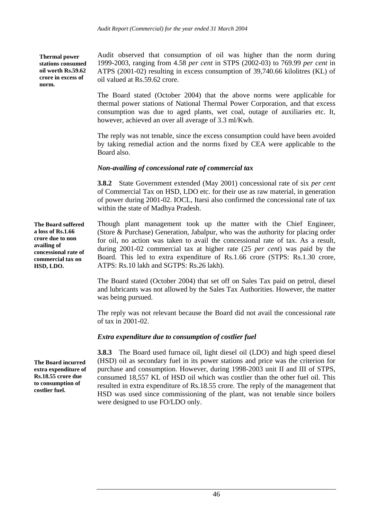**Thermal power stations consumed oil worth Rs.59.62 crore in excess of norm.** 

Audit observed that consumption of oil was higher than the norm during 1999-2003, ranging from 4.58 *per cent* in STPS (2002-03) to 769.99 *per cent* in ATPS (2001-02) resulting in excess consumption of 39,740.66 kilolitres (KL) of oil valued at Rs.59.62 crore.

The Board stated (October 2004) that the above norms were applicable for thermal power stations of National Thermal Power Corporation, and that excess consumption was due to aged plants, wet coal, outage of auxiliaries etc. It, however, achieved an over all average of 3.3 ml/Kwh.

The reply was not tenable, since the excess consumption could have been avoided by taking remedial action and the norms fixed by CEA were applicable to the Board also.

### *Non-availing of concessional rate of commercial tax*

**3.8.2** State Government extended (May 2001) concessional rate of six *per cent* of Commercial Tax on HSD, LDO etc. for their use as raw material, in generation of power during 2001-02. IOCL, Itarsi also confirmed the concessional rate of tax within the state of Madhya Pradesh.

Though plant management took up the matter with the Chief Engineer, (Store & Purchase) Generation, Jabalpur, who was the authority for placing order for oil, no action was taken to avail the concessional rate of tax. As a result, during 2001-02 commercial tax at higher rate (25 *per cent*) was paid by the Board. This led to extra expenditure of Rs.1.66 crore (STPS: Rs.1.30 crore, ATPS: Rs.10 lakh and SGTPS: Rs.26 lakh).

The Board stated (October 2004) that set off on Sales Tax paid on petrol, diesel and lubricants was not allowed by the Sales Tax Authorities. However, the matter was being pursued.

The reply was not relevant because the Board did not avail the concessional rate of tax in 2001-02.

# *Extra expenditure due to consumption of costlier fuel*

**3.8.3** The Board used furnace oil, light diesel oil (LDO) and high speed diesel (HSD) oil as secondary fuel in its power stations and price was the criterion for purchase and consumption. However, during 1998-2003 unit II and III of STPS, consumed 18,557 KL of HSD oil which was costlier than the other fuel oil. This resulted in extra expenditure of Rs.18.55 crore. The reply of the management that HSD was used since commissioning of the plant, was not tenable since boilers were designed to use FO/LDO only.

**The Board suffered a loss of Rs.1.66 crore due to non availing of concessional rate of commercial tax on HSD, LDO.** 

**The Board incurred extra expenditure of Rs.18.55 crore due to consumption of costlier fuel.**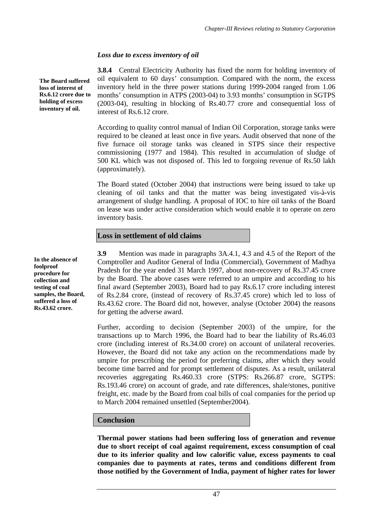# *Loss due to excess inventory of oil*

**3.8.4** Central Electricity Authority has fixed the norm for holding inventory of oil equivalent to 60 days' consumption. Compared with the norm, the excess inventory held in the three power stations during 1999-2004 ranged from 1.06 months' consumption in ATPS (2003-04) to 3.93 months' consumption in SGTPS (2003-04), resulting in blocking of Rs.40.77 crore and consequential loss of interest of Rs.6.12 crore.

According to quality control manual of Indian Oil Corporation, storage tanks were required to be cleaned at least once in five years. Audit observed that none of the five furnace oil storage tanks was cleaned in STPS since their respective commissioning (1977 and 1984). This resulted in accumulation of sludge of 500 KL which was not disposed of. This led to forgoing revenue of Rs.50 lakh (approximately).

The Board stated (October 2004) that instructions were being issued to take up cleaning of oil tanks and that the matter was being investigated vis-à-vis arrangement of sludge handling. A proposal of IOC to hire oil tanks of the Board on lease was under active consideration which would enable it to operate on zero inventory basis.

### **Loss in settlement of old claims**

**3.9** Mention was made in paragraphs 3A.4.1, 4.3 and 4.5 of the Report of the Comptroller and Auditor General of India (Commercial), Government of Madhya Pradesh for the year ended 31 March 1997, about non-recovery of Rs.37.45 crore by the Board. The above cases were referred to an umpire and according to his final award (September 2003), Board had to pay Rs.6.17 crore including interest of Rs.2.84 crore, (instead of recovery of Rs.37.45 crore) which led to loss of Rs.43.62 crore. The Board did not, however, analyse (October 2004) the reasons for getting the adverse award.

Further, according to decision (September 2003) of the umpire, for the transactions up to March 1996, the Board had to bear the liability of Rs.46.03 crore (including interest of Rs.34.00 crore) on account of unilateral recoveries. However, the Board did not take any action on the recommendations made by umpire for prescribing the period for preferring claims, after which they would become time barred and for prompt settlement of disputes. As a result, unilateral recoveries aggregating Rs.460.33 crore (STPS: Rs.266.87 crore, SGTPS: Rs.193.46 crore) on account of grade, and rate differences, shale/stones, punitive freight, etc. made by the Board from coal bills of coal companies for the period up to March 2004 remained unsettled (September2004).

# **Conclusion**

**Thermal power stations had been suffering loss of generation and revenue due to short receipt of coal against requirement, excess consumption of coal due to its inferior quality and low calorific value, excess payments to coal companies due to payments at rates, terms and conditions different from those notified by the Government of India, payment of higher rates for lower**

**The Board suffered loss of interest of Rs.6.12 crore due to holding of excess inventory of oil.**

**In the absence of foolproof procedure for collection and testing of coal samples, the Board, suffered a loss of Rs.43.62 crore.**